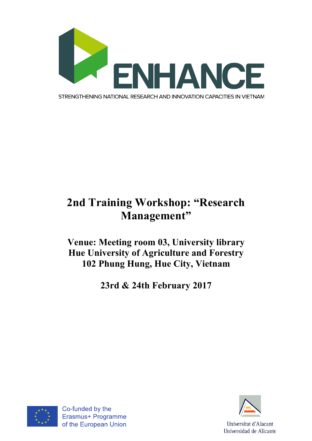

## **2nd Training Workshop: "Research Management"**

## **Venue: Meeting room 03, University library Hue University of Agriculture and Forestry 102 Phung Hung, Hue City, Vietnam**

**23rd & 24th February 2017**



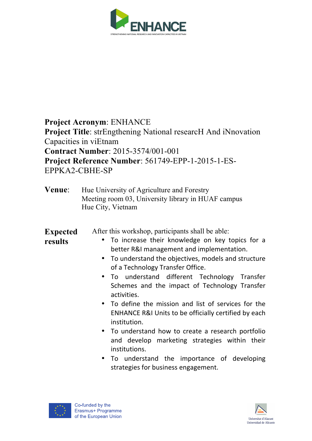

**Project Acronym**: ENHANCE **Project Title**: strEngthening National researcH And iNnovation Capacities in viEtnam **Contract Number**: 2015-3574/001-001 **Project Reference Number**: 561749-EPP-1-2015-1-ES-EPPKA2-CBHE-SP

| Venue: | Hue University of Agriculture and Forestry         |
|--------|----------------------------------------------------|
|        | Meeting room 03, University library in HUAF campus |
|        | Hue City, Vietnam                                  |

**Expected**  After this workshop, participants shall be able:

**results**

- To increase their knowledge on key topics for a better R&I management and implementation.
- To understand the objectives, models and structure of a Technology Transfer Office.
- To understand different Technology Transfer Schemes and the impact of Technology Transfer activities.
- To define the mission and list of services for the ENHANCE R&I Units to be officially certified by each institution.
- To understand how to create a research portfolio and develop marketing strategies within their institutions.
- To understand the importance of developing strategies for business engagement.



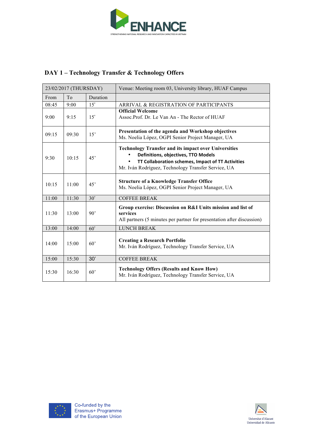

## **DAY 1 – Technology Transfer & Technology Offers**

| 23/02/2017 (THURSDAY) |       |              | Venue: Meeting room 03, University library, HUAF Campus                                                                                                                                                        |
|-----------------------|-------|--------------|----------------------------------------------------------------------------------------------------------------------------------------------------------------------------------------------------------------|
| From                  | To    | Duration     |                                                                                                                                                                                                                |
| 08:45                 | 9:00  | 15'          | ARRIVAL & REGISTRATION OF PARTICIPANTS                                                                                                                                                                         |
| 9:00                  | 9:15  | 15'          | <b>Official Welcome</b><br>Assoc.Prof. Dr. Le Van An - The Rector of HUAF                                                                                                                                      |
| 09:15                 | 09:30 | 15'          | Presentation of the agenda and Workshop objectives<br>Ms. Noelia López, OGPI Senior Project Manager, UA                                                                                                        |
| 9:30                  | 10:15 | 45'          | <b>Technology Transfer and its impact over Universities</b><br>Definitions, objectives, TTO Models<br>TT Collaboration schemes, Impact of TT Activities<br>Mr. Iván Rodríguez, Technology Transfer Service, UA |
| 10:15                 | 11:00 | 45'          | <b>Structure of a Knowledge Transfer Office</b><br>Ms. Noelia López, OGPI Senior Project Manager, UA                                                                                                           |
| 11:00                 | 11:30 | 30'          | <b>COFFEE BREAK</b>                                                                                                                                                                                            |
| 11:30                 | 13:00 | 90'          | Group exercise: Discussion on R&I Units mission and list of<br>services<br>All partners (5 minutes per partner for presentation after discussion)                                                              |
| 13:00                 | 14:00 | 60'          | <b>LUNCH BREAK</b>                                                                                                                                                                                             |
| 14:00                 | 15:00 | 60'          | <b>Creating a Research Portfolio</b><br>Mr. Iván Rodríguez, Technology Transfer Service, UA                                                                                                                    |
| 15:00                 | 15:30 | 30'          | <b>COFFEE BREAK</b>                                                                                                                                                                                            |
| 15:30                 | 16:30 | $60^{\circ}$ | <b>Technology Offers (Results and Know How)</b><br>Mr. Iván Rodríguez, Technology Transfer Service, UA                                                                                                         |